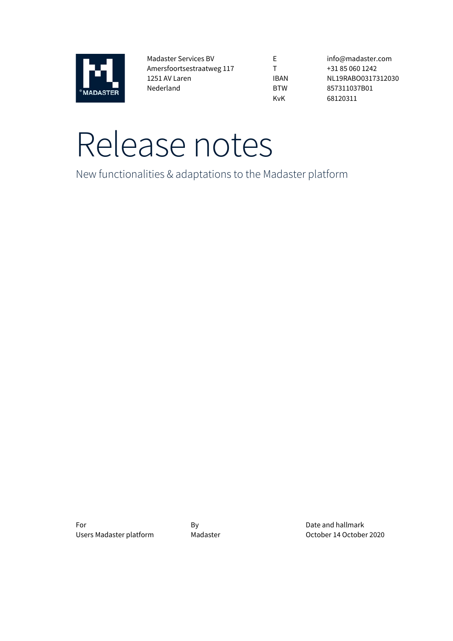

Madaster Services BV Amersfoortsestraatweg 117 1251 AV Laren Nederland

E T IBAN BTW KvK

info@madaster.com +31 85 060 1242 NL19RABO0317312030 857311037B01 68120311

# Release notes

New functionalities & adaptations to the Madaster platform

For By By By Date and hallmark

Users Madaster platform Madaster Madaster Coctober 14 October 2020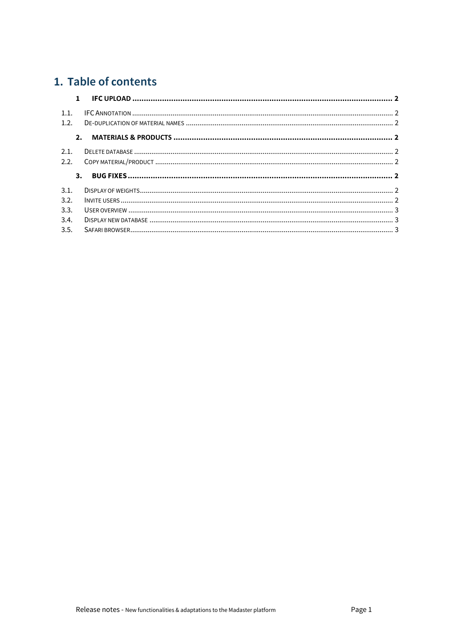# 1. Table of contents

| $\mathbf{1}$ |  |
|--------------|--|
| 1.1.<br>12   |  |
| 2.           |  |
| 2.1.         |  |
| 2.2.         |  |
|              |  |
| 3.           |  |
| 3.1.         |  |
| 3.2.         |  |
| 3.3.         |  |
| 3.4.         |  |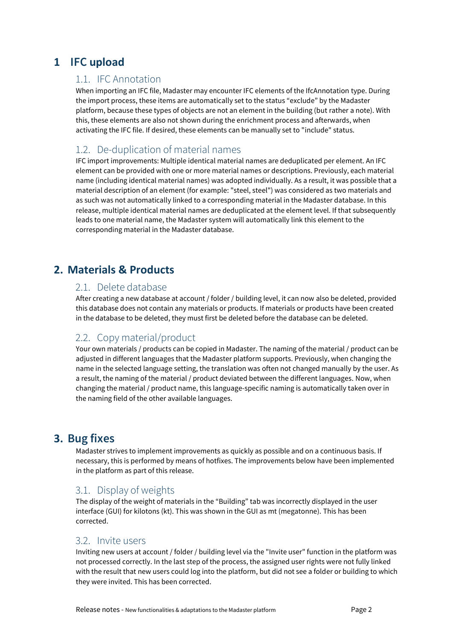# <span id="page-2-1"></span><span id="page-2-0"></span>**1 IFC upload**

#### 1.1. IFC Annotation

When importing an IFC file, Madaster may encounter IFC elements of the IfcAnnotation type. During the import process, these items are automatically set to the status "exclude" by the Madaster platform, because these types of objects are not an element in the building (but rather a note). With this, these elements are also not shown during the enrichment process and afterwards, when activating the IFC file. If desired, these elements can be manually set to "include" status.

# <span id="page-2-2"></span>1.2. De-duplication of material names

IFC import improvements: Multiple identical material names are deduplicated per element. An IFC element can be provided with one or more material names or descriptions. Previously, each material name (including identical material names) was adopted individually. As a result, it was possible that a material description of an element (for example: "steel, steel") was considered as two materials and as such was not automatically linked to a corresponding material in the Madaster database. In this release, multiple identical material names are deduplicated at the element level. If that subsequently leads to one material name, the Madaster system will automatically link this element to the corresponding material in the Madaster database.

# <span id="page-2-4"></span><span id="page-2-3"></span>**2. Materials & Products**

#### 2.1. Delete database

After creating a new database at account / folder / building level, it can now also be deleted, provided this database does not contain any materials or products. If materials or products have been created in the database to be deleted, they must first be deleted before the database can be deleted.

# <span id="page-2-5"></span>2.2. Copy material/product

Your own materials / products can be copied in Madaster. The naming of the material / product can be adjusted in different languages that the Madaster platform supports. Previously, when changing the name in the selected language setting, the translation was often not changed manually by the user. As a result, the naming of the material / product deviated between the different languages. Now, when changing the material / product name, this language-specific naming is automatically taken over in the naming field of the other available languages.

# <span id="page-2-6"></span>**3. Bug fixes**

Madaster strives to implement improvements as quickly as possible and on a continuous basis. If necessary, this is performed by means of hotfixes. The improvements below have been implemented in the platform as part of this release.

# <span id="page-2-7"></span>3.1. Display of weights

The display of the weight of materials in the "Building" tab was incorrectly displayed in the user interface (GUI) for kilotons (kt). This was shown in the GUI as mt (megatonne). This has been corrected.

#### <span id="page-2-8"></span>3.2. Invite users

Inviting new users at account / folder / building level via the "Invite user" function in the platform was not processed correctly. In the last step of the process, the assigned user rights were not fully linked with the result that new users could log into the platform, but did not see a folder or building to which they were invited. This has been corrected.